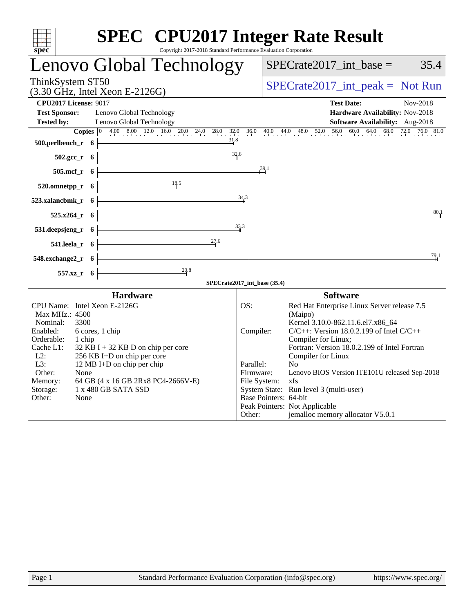| <b>SPEC<sup>®</sup></b> CPU2017 Integer Rate Result<br>spec <sup>®</sup><br>Copyright 2017-2018 Standard Performance Evaluation Corporation                                                                                                                                                                                                                                          |                                                      |                                                                                                                                                                                                                                                                                                                                                                                                                                                                             |
|--------------------------------------------------------------------------------------------------------------------------------------------------------------------------------------------------------------------------------------------------------------------------------------------------------------------------------------------------------------------------------------|------------------------------------------------------|-----------------------------------------------------------------------------------------------------------------------------------------------------------------------------------------------------------------------------------------------------------------------------------------------------------------------------------------------------------------------------------------------------------------------------------------------------------------------------|
| Lenovo Global Technology                                                                                                                                                                                                                                                                                                                                                             |                                                      | $SPECrate2017\_int\_base =$<br>35.4                                                                                                                                                                                                                                                                                                                                                                                                                                         |
| ThinkSystem ST50<br>$(3.30 \text{ GHz}, \text{Intel Xeon E-2126G})$                                                                                                                                                                                                                                                                                                                  |                                                      | $SPECrate2017\_int\_peak = Not Run$                                                                                                                                                                                                                                                                                                                                                                                                                                         |
| <b>CPU2017 License: 9017</b>                                                                                                                                                                                                                                                                                                                                                         |                                                      | <b>Test Date:</b><br>Nov-2018                                                                                                                                                                                                                                                                                                                                                                                                                                               |
| <b>Test Sponsor:</b><br>Lenovo Global Technology                                                                                                                                                                                                                                                                                                                                     |                                                      | Hardware Availability: Nov-2018                                                                                                                                                                                                                                                                                                                                                                                                                                             |
| <b>Tested by:</b><br>Lenovo Global Technology                                                                                                                                                                                                                                                                                                                                        |                                                      | Software Availability: Aug-2018                                                                                                                                                                                                                                                                                                                                                                                                                                             |
| 31.8<br>500.perlbench_r 6                                                                                                                                                                                                                                                                                                                                                            |                                                      |                                                                                                                                                                                                                                                                                                                                                                                                                                                                             |
| 32.6<br>$502.\text{gcc}_r$ 6                                                                                                                                                                                                                                                                                                                                                         |                                                      |                                                                                                                                                                                                                                                                                                                                                                                                                                                                             |
| $505$ .mcf_r 6                                                                                                                                                                                                                                                                                                                                                                       |                                                      | $\frac{39.1}{4}$                                                                                                                                                                                                                                                                                                                                                                                                                                                            |
| 18.5<br>520.omnetpp_r 6                                                                                                                                                                                                                                                                                                                                                              |                                                      |                                                                                                                                                                                                                                                                                                                                                                                                                                                                             |
| 523.xalancbmk_r 6                                                                                                                                                                                                                                                                                                                                                                    | 34.3                                                 |                                                                                                                                                                                                                                                                                                                                                                                                                                                                             |
| $525.x264_r$ 6                                                                                                                                                                                                                                                                                                                                                                       |                                                      | 80.1                                                                                                                                                                                                                                                                                                                                                                                                                                                                        |
| 531.deepsjeng_r 6                                                                                                                                                                                                                                                                                                                                                                    | 33.3                                                 |                                                                                                                                                                                                                                                                                                                                                                                                                                                                             |
| $\frac{27.6}{4}$<br>541.leela_r 6                                                                                                                                                                                                                                                                                                                                                    |                                                      |                                                                                                                                                                                                                                                                                                                                                                                                                                                                             |
| 548.exchange2_r 6                                                                                                                                                                                                                                                                                                                                                                    |                                                      | 79,1                                                                                                                                                                                                                                                                                                                                                                                                                                                                        |
| $\frac{20.8}{4}$<br>557.xz_r 6                                                                                                                                                                                                                                                                                                                                                       |                                                      |                                                                                                                                                                                                                                                                                                                                                                                                                                                                             |
| SPECrate2017_int_base (35.4)                                                                                                                                                                                                                                                                                                                                                         |                                                      |                                                                                                                                                                                                                                                                                                                                                                                                                                                                             |
| <b>Hardware</b>                                                                                                                                                                                                                                                                                                                                                                      |                                                      | <b>Software</b>                                                                                                                                                                                                                                                                                                                                                                                                                                                             |
| CPU Name: Intel Xeon E-2126G<br>Max MHz.: 4500<br>Nominal:<br>3300<br>Enabled:<br>6 cores, 1 chip<br>Orderable:<br>1 chip<br>Cache L1:<br>$32$ KB I + 32 KB D on chip per core<br>$L2$ :<br>256 KB I+D on chip per core<br>L3:<br>12 MB I+D on chip per chip<br>Other:<br>None<br>Memory:<br>64 GB (4 x 16 GB 2Rx8 PC4-2666V-E)<br>Storage:<br>1 x 480 GB SATA SSD<br>Other:<br>None | OS:<br>Compiler:<br>Parallel:<br>Firmware:<br>Other: | Red Hat Enterprise Linux Server release 7.5<br>(Maipo)<br>Kernel 3.10.0-862.11.6.el7.x86 64<br>$C/C++$ : Version 18.0.2.199 of Intel $C/C++$<br>Compiler for Linux;<br>Fortran: Version 18.0.2.199 of Intel Fortran<br>Compiler for Linux<br>N <sub>0</sub><br>Lenovo BIOS Version ITE101U released Sep-2018<br>File System:<br>xfs<br>System State: Run level 3 (multi-user)<br>Base Pointers: 64-bit<br>Peak Pointers: Not Applicable<br>jemalloc memory allocator V5.0.1 |
|                                                                                                                                                                                                                                                                                                                                                                                      |                                                      |                                                                                                                                                                                                                                                                                                                                                                                                                                                                             |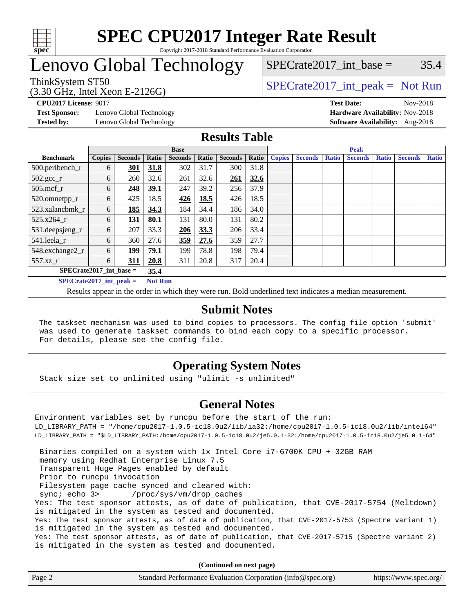

#### **[SPEC CPU2017 Integer Rate Result](http://www.spec.org/auto/cpu2017/Docs/result-fields.html#SPECCPU2017IntegerRateResult)** Copyright 2017-2018 Standard Performance Evaluation Corporation

## Lenovo Global Technology

SPECrate2017 int\_base =  $35.4$ 

(3.30 GHz, Intel Xeon E-2126G)

ThinkSystem ST50  $SPECrate2017$ \_int\_peak = Not Run

**[Test Sponsor:](http://www.spec.org/auto/cpu2017/Docs/result-fields.html#TestSponsor)** Lenovo Global Technology **[Hardware Availability:](http://www.spec.org/auto/cpu2017/Docs/result-fields.html#HardwareAvailability)** Nov-2018 **[Tested by:](http://www.spec.org/auto/cpu2017/Docs/result-fields.html#Testedby)** Lenovo Global Technology **[Software Availability:](http://www.spec.org/auto/cpu2017/Docs/result-fields.html#SoftwareAvailability)** Aug-2018

**[CPU2017 License:](http://www.spec.org/auto/cpu2017/Docs/result-fields.html#CPU2017License)** 9017 **[Test Date:](http://www.spec.org/auto/cpu2017/Docs/result-fields.html#TestDate)** Nov-2018

#### **[Results Table](http://www.spec.org/auto/cpu2017/Docs/result-fields.html#ResultsTable)**

|                             | <b>Base</b>    |                |       |                |       | <b>Peak</b>    |       |               |                |              |                |              |                |              |
|-----------------------------|----------------|----------------|-------|----------------|-------|----------------|-------|---------------|----------------|--------------|----------------|--------------|----------------|--------------|
| <b>Benchmark</b>            | <b>Copies</b>  | <b>Seconds</b> | Ratio | <b>Seconds</b> | Ratio | <b>Seconds</b> | Ratio | <b>Copies</b> | <b>Seconds</b> | <b>Ratio</b> | <b>Seconds</b> | <b>Ratio</b> | <b>Seconds</b> | <b>Ratio</b> |
| 500.perlbench_r             | 6              | 301            | 31.8  | 302            | 31.7  | 300            | 31.8  |               |                |              |                |              |                |              |
| $502.\text{gcc}_r$          | 6              | 260            | 32.6  | 261            | 32.6  | 261            | 32.6  |               |                |              |                |              |                |              |
| $505$ .mcf r                | 6              | 248            | 39.1  | 247            | 39.2  | 256            | 37.9  |               |                |              |                |              |                |              |
| 520.omnetpp_r               | 6              | 425            | 18.5  | 426            | 18.5  | 426            | 18.5  |               |                |              |                |              |                |              |
| 523.xalancbmk r             | 6              | 185            | 34.3  | 184            | 34.4  | 186            | 34.0  |               |                |              |                |              |                |              |
| 525.x264 r                  | 6              | 131            | 80.1  | 131            | 80.0  | 131            | 80.2  |               |                |              |                |              |                |              |
| 531.deepsjeng_r             | 6              | 207            | 33.3  | 206            | 33.3  | 206            | 33.4  |               |                |              |                |              |                |              |
| 541.leela r                 | 6              | 360            | 27.6  | 359            | 27.6  | 359            | 27.7  |               |                |              |                |              |                |              |
| 548.exchange2_r             | 6              | 199            | 79.1  | 199            | 78.8  | 198            | 79.4  |               |                |              |                |              |                |              |
| 557.xz r                    | 6              | 311            | 20.8  | 311            | 20.8  | 317            | 20.4  |               |                |              |                |              |                |              |
| $SPECrate2017$ int base =   |                |                | 35.4  |                |       |                |       |               |                |              |                |              |                |              |
| $SPECrate2017\_int\_peak =$ | <b>Not Run</b> |                |       |                |       |                |       |               |                |              |                |              |                |              |

Results appear in the [order in which they were run](http://www.spec.org/auto/cpu2017/Docs/result-fields.html#RunOrder). Bold underlined text [indicates a median measurement](http://www.spec.org/auto/cpu2017/Docs/result-fields.html#Median).

#### **[Submit Notes](http://www.spec.org/auto/cpu2017/Docs/result-fields.html#SubmitNotes)**

 The taskset mechanism was used to bind copies to processors. The config file option 'submit' was used to generate taskset commands to bind each copy to a specific processor. For details, please see the config file.

### **[Operating System Notes](http://www.spec.org/auto/cpu2017/Docs/result-fields.html#OperatingSystemNotes)**

Stack size set to unlimited using "ulimit -s unlimited"

#### **[General Notes](http://www.spec.org/auto/cpu2017/Docs/result-fields.html#GeneralNotes)**

Environment variables set by runcpu before the start of the run: LD\_LIBRARY\_PATH = "/home/cpu2017-1.0.5-ic18.0u2/lib/ia32:/home/cpu2017-1.0.5-ic18.0u2/lib/intel64" LD\_LIBRARY\_PATH = "\$LD\_LIBRARY\_PATH:/home/cpu2017-1.0.5-ic18.0u2/je5.0.1-32:/home/cpu2017-1.0.5-ic18.0u2/je5.0.1-64" Binaries compiled on a system with 1x Intel Core i7-6700K CPU + 32GB RAM memory using Redhat Enterprise Linux 7.5 Transparent Huge Pages enabled by default Prior to runcpu invocation Filesystem page cache synced and cleared with: sync; echo 3> /proc/sys/vm/drop\_caches Yes: The test sponsor attests, as of date of publication, that CVE-2017-5754 (Meltdown) is mitigated in the system as tested and documented. Yes: The test sponsor attests, as of date of publication, that CVE-2017-5753 (Spectre variant 1) is mitigated in the system as tested and documented. Yes: The test sponsor attests, as of date of publication, that CVE-2017-5715 (Spectre variant 2) is mitigated in the system as tested and documented.

**(Continued on next page)**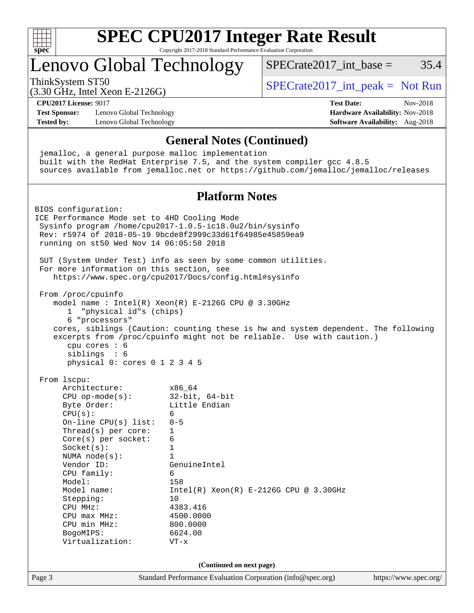

# **[SPEC CPU2017 Integer Rate Result](http://www.spec.org/auto/cpu2017/Docs/result-fields.html#SPECCPU2017IntegerRateResult)**

Copyright 2017-2018 Standard Performance Evaluation Corporation

## Lenovo Global Technology

ThinkSystem ST50  $SPECrate2017$ \_int\_peak = Not Run

SPECrate2017 int\_base =  $35.4$ 

(3.30 GHz, Intel Xeon E-2126G)

**[Test Sponsor:](http://www.spec.org/auto/cpu2017/Docs/result-fields.html#TestSponsor)** Lenovo Global Technology **[Hardware Availability:](http://www.spec.org/auto/cpu2017/Docs/result-fields.html#HardwareAvailability)** Nov-2018 **[Tested by:](http://www.spec.org/auto/cpu2017/Docs/result-fields.html#Testedby)** Lenovo Global Technology **[Software Availability:](http://www.spec.org/auto/cpu2017/Docs/result-fields.html#SoftwareAvailability)** Aug-2018

# **[CPU2017 License:](http://www.spec.org/auto/cpu2017/Docs/result-fields.html#CPU2017License)** 9017 **[Test Date:](http://www.spec.org/auto/cpu2017/Docs/result-fields.html#TestDate)** Nov-2018

#### **[General Notes \(Continued\)](http://www.spec.org/auto/cpu2017/Docs/result-fields.html#GeneralNotes)**

 jemalloc, a general purpose malloc implementation built with the RedHat Enterprise 7.5, and the system compiler gcc 4.8.5 sources available from jemalloc.net or <https://github.com/jemalloc/jemalloc/releases>

#### **[Platform Notes](http://www.spec.org/auto/cpu2017/Docs/result-fields.html#PlatformNotes)**

Page 3 Standard Performance Evaluation Corporation [\(info@spec.org\)](mailto:info@spec.org) <https://www.spec.org/> BIOS configuration: ICE Performance Mode set to 4HD Cooling Mode Sysinfo program /home/cpu2017-1.0.5-ic18.0u2/bin/sysinfo Rev: r5974 of 2018-05-19 9bcde8f2999c33d61f64985e45859ea9 running on st50 Wed Nov 14 06:05:58 2018 SUT (System Under Test) info as seen by some common utilities. For more information on this section, see <https://www.spec.org/cpu2017/Docs/config.html#sysinfo> From /proc/cpuinfo model name : Intel(R) Xeon(R) E-2126G CPU @ 3.30GHz 1 "physical id"s (chips) 6 "processors" cores, siblings (Caution: counting these is hw and system dependent. The following excerpts from /proc/cpuinfo might not be reliable. Use with caution.) cpu cores : 6 siblings : 6 physical 0: cores 0 1 2 3 4 5 From lscpu: Architecture: x86\_64 CPU op-mode(s): 32-bit, 64-bit Byte Order: Little Endian  $CPU(s):$  6 On-line CPU(s) list: 0-5 Thread(s) per core: 1 Core(s) per socket: 6 Socket(s): 1 NUMA node(s): 1 Vendor ID: GenuineIntel CPU family: 6 Model: 158 Model name: Intel(R) Xeon(R) E-2126G CPU @ 3.30GHz Stepping: 10 CPU MHz: 4383.416 CPU max MHz: 4500.0000 CPU min MHz: 800.0000 BogoMIPS: 6624.00 Virtualization: VT-x **(Continued on next page)**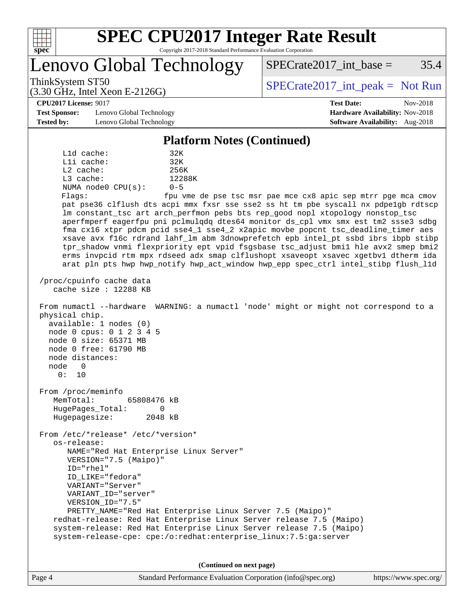

## **[SPEC CPU2017 Integer Rate Result](http://www.spec.org/auto/cpu2017/Docs/result-fields.html#SPECCPU2017IntegerRateResult)**

Copyright 2017-2018 Standard Performance Evaluation Corporation

Lenovo Global Technology

ThinkSystem ST50  $SPECrate2017$ \_int\_peak = Not Run

 $SPECTate2017\_int\_base = 35.4$ 

#### **[CPU2017 License:](http://www.spec.org/auto/cpu2017/Docs/result-fields.html#CPU2017License)** 9017 **[Test Date:](http://www.spec.org/auto/cpu2017/Docs/result-fields.html#TestDate)** Nov-2018

**[Test Sponsor:](http://www.spec.org/auto/cpu2017/Docs/result-fields.html#TestSponsor)** Lenovo Global Technology **[Hardware Availability:](http://www.spec.org/auto/cpu2017/Docs/result-fields.html#HardwareAvailability)** Nov-2018 **[Tested by:](http://www.spec.org/auto/cpu2017/Docs/result-fields.html#Testedby)** Lenovo Global Technology **[Software Availability:](http://www.spec.org/auto/cpu2017/Docs/result-fields.html#SoftwareAvailability)** Aug-2018

(3.30 GHz, Intel Xeon E-2126G)

#### **[Platform Notes \(Continued\)](http://www.spec.org/auto/cpu2017/Docs/result-fields.html#PlatformNotes)**

 L1d cache: 32K L1i cache: 32K L2 cache: 256K L3 cache: 12288K NUMA node0 CPU(s): 0-5 Flags: fpu vme de pse tsc msr pae mce cx8 apic sep mtrr pge mca cmov pat pse36 clflush dts acpi mmx fxsr sse sse2 ss ht tm pbe syscall nx pdpe1gb rdtscp lm constant\_tsc art arch\_perfmon pebs bts rep\_good nopl xtopology nonstop\_tsc aperfmperf eagerfpu pni pclmulqdq dtes64 monitor ds\_cpl vmx smx est tm2 ssse3 sdbg fma cx16 xtpr pdcm pcid sse4\_1 sse4\_2 x2apic movbe popcnt tsc\_deadline\_timer aes xsave avx f16c rdrand lahf\_lm abm 3dnowprefetch epb intel\_pt ssbd ibrs ibpb stibp tpr\_shadow vnmi flexpriority ept vpid fsgsbase tsc\_adjust bmi1 hle avx2 smep bmi2 erms invpcid rtm mpx rdseed adx smap clflushopt xsaveopt xsavec xgetbv1 dtherm ida arat pln pts hwp hwp\_notify hwp\_act\_window hwp\_epp spec\_ctrl intel\_stibp flush\_l1d /proc/cpuinfo cache data cache size : 12288 KB From numactl --hardware WARNING: a numactl 'node' might or might not correspond to a physical chip. available: 1 nodes (0) node 0 cpus: 0 1 2 3 4 5 node 0 size: 65371 MB node 0 free: 61790 MB node distances: node 0 0: 10 From /proc/meminfo MemTotal: 65808476 kB HugePages\_Total: 0 Hugepagesize: 2048 kB From /etc/\*release\* /etc/\*version\* os-release: NAME="Red Hat Enterprise Linux Server" VERSION="7.5 (Maipo)" ID="rhel" ID\_LIKE="fedora" VARIANT="Server" VARIANT\_ID="server" VERSION\_ID="7.5" PRETTY\_NAME="Red Hat Enterprise Linux Server 7.5 (Maipo)" redhat-release: Red Hat Enterprise Linux Server release 7.5 (Maipo) system-release: Red Hat Enterprise Linux Server release 7.5 (Maipo) system-release-cpe: cpe:/o:redhat:enterprise\_linux:7.5:ga:server

**(Continued on next page)**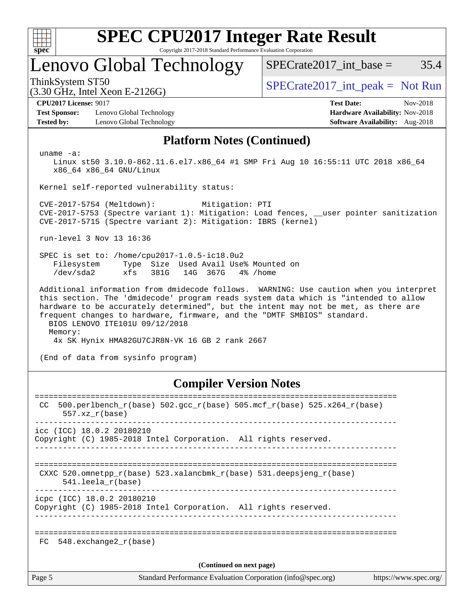

## **[SPEC CPU2017 Integer Rate Result](http://www.spec.org/auto/cpu2017/Docs/result-fields.html#SPECCPU2017IntegerRateResult)**

Copyright 2017-2018 Standard Performance Evaluation Corporation

## Lenovo Global Technology

ThinkSystem ST50  $SPECrate2017$ \_int\_peak = Not Run

 $SPECTate2017\_int\_base = 35.4$ 

(3.30 GHz, Intel Xeon E-2126G)

**[Test Sponsor:](http://www.spec.org/auto/cpu2017/Docs/result-fields.html#TestSponsor)** Lenovo Global Technology **[Hardware Availability:](http://www.spec.org/auto/cpu2017/Docs/result-fields.html#HardwareAvailability)** Nov-2018 **[Tested by:](http://www.spec.org/auto/cpu2017/Docs/result-fields.html#Testedby)** Lenovo Global Technology **[Software Availability:](http://www.spec.org/auto/cpu2017/Docs/result-fields.html#SoftwareAvailability)** Aug-2018

**[CPU2017 License:](http://www.spec.org/auto/cpu2017/Docs/result-fields.html#CPU2017License)** 9017 **[Test Date:](http://www.spec.org/auto/cpu2017/Docs/result-fields.html#TestDate)** Nov-2018

#### **[Platform Notes \(Continued\)](http://www.spec.org/auto/cpu2017/Docs/result-fields.html#PlatformNotes)**

uname -a:

 Linux st50 3.10.0-862.11.6.el7.x86\_64 #1 SMP Fri Aug 10 16:55:11 UTC 2018 x86\_64 x86\_64 x86\_64 GNU/Linux

Kernel self-reported vulnerability status:

 CVE-2017-5754 (Meltdown): Mitigation: PTI CVE-2017-5753 (Spectre variant 1): Mitigation: Load fences, \_\_user pointer sanitization CVE-2017-5715 (Spectre variant 2): Mitigation: IBRS (kernel)

run-level 3 Nov 13 16:36

 SPEC is set to: /home/cpu2017-1.0.5-ic18.0u2 Filesystem Type Size Used Avail Use% Mounted on /dev/sda2 xfs 381G 14G 367G 4% /home

 Additional information from dmidecode follows. WARNING: Use caution when you interpret this section. The 'dmidecode' program reads system data which is "intended to allow hardware to be accurately determined", but the intent may not be met, as there are frequent changes to hardware, firmware, and the "DMTF SMBIOS" standard. BIOS LENOVO ITE101U 09/12/2018

Memory:

4x SK Hynix HMA82GU7CJR8N-VK 16 GB 2 rank 2667

(End of data from sysinfo program)

#### **[Compiler Version Notes](http://www.spec.org/auto/cpu2017/Docs/result-fields.html#CompilerVersionNotes)**

| CC.                      | 500.perlbench_r(base) 502.gcc_r(base) 505.mcf_r(base) 525.x264_r(base)<br>$557.xx$ $r(base)$                                             |  |  |  |  |
|--------------------------|------------------------------------------------------------------------------------------------------------------------------------------|--|--|--|--|
|                          | $\text{icc}$ (ICC) 18.0.2 20180210<br>Copyright (C) 1985-2018 Intel Corporation. All rights reserved.                                    |  |  |  |  |
|                          | ----------------------------------<br>CXXC 520.omnetpp $r(base)$ 523.xalancbmk $r(base)$ 531.deepsjeng $r(base)$<br>$541.$ leela r(base) |  |  |  |  |
|                          | icpc (ICC) 18.0.2 20180210<br>Copyright (C) 1985-2018 Intel Corporation. All rights reserved.                                            |  |  |  |  |
| FC                       | 548.exchange2 r(base)                                                                                                                    |  |  |  |  |
| (Continued on next page) |                                                                                                                                          |  |  |  |  |
| Page 5                   | Standard Performance Evaluation Corporation (info@spec.org)<br>https://www.spec.org/                                                     |  |  |  |  |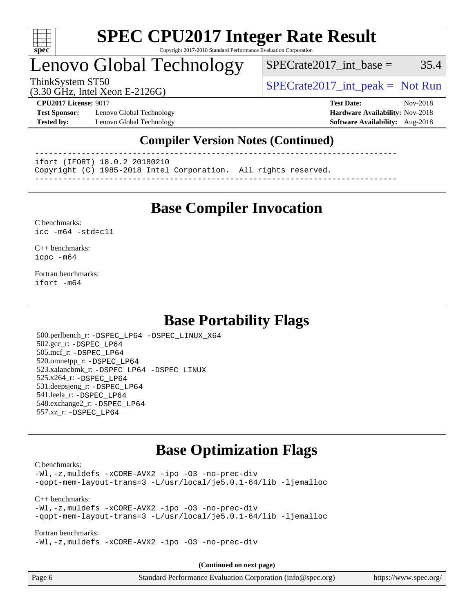

#### **[SPEC CPU2017 Integer Rate Result](http://www.spec.org/auto/cpu2017/Docs/result-fields.html#SPECCPU2017IntegerRateResult)** Copyright 2017-2018 Standard Performance Evaluation Corporation

## Lenovo Global Technology

 $SPECTate2017\_int\_base = 35.4$ 

(3.30 GHz, Intel Xeon E-2126G)

ThinkSystem ST50  $SPECrate2017$ \_int\_peak = Not Run

**[Test Sponsor:](http://www.spec.org/auto/cpu2017/Docs/result-fields.html#TestSponsor)** Lenovo Global Technology **[Hardware Availability:](http://www.spec.org/auto/cpu2017/Docs/result-fields.html#HardwareAvailability)** Nov-2018 **[Tested by:](http://www.spec.org/auto/cpu2017/Docs/result-fields.html#Testedby)** Lenovo Global Technology **[Software Availability:](http://www.spec.org/auto/cpu2017/Docs/result-fields.html#SoftwareAvailability)** Aug-2018

**[CPU2017 License:](http://www.spec.org/auto/cpu2017/Docs/result-fields.html#CPU2017License)** 9017 **[Test Date:](http://www.spec.org/auto/cpu2017/Docs/result-fields.html#TestDate)** Nov-2018

### **[Compiler Version Notes \(Continued\)](http://www.spec.org/auto/cpu2017/Docs/result-fields.html#CompilerVersionNotes)**

------------------------------------------------------------------------------

ifort (IFORT) 18.0.2 20180210

Copyright (C) 1985-2018 Intel Corporation. All rights reserved.

------------------------------------------------------------------------------

### **[Base Compiler Invocation](http://www.spec.org/auto/cpu2017/Docs/result-fields.html#BaseCompilerInvocation)**

#### [C benchmarks](http://www.spec.org/auto/cpu2017/Docs/result-fields.html#Cbenchmarks): [icc -m64 -std=c11](http://www.spec.org/cpu2017/results/res2018q4/cpu2017-20181126-09921.flags.html#user_CCbase_intel_icc_64bit_c11_33ee0cdaae7deeeab2a9725423ba97205ce30f63b9926c2519791662299b76a0318f32ddfffdc46587804de3178b4f9328c46fa7c2b0cd779d7a61945c91cd35)

[C++ benchmarks:](http://www.spec.org/auto/cpu2017/Docs/result-fields.html#CXXbenchmarks) [icpc -m64](http://www.spec.org/cpu2017/results/res2018q4/cpu2017-20181126-09921.flags.html#user_CXXbase_intel_icpc_64bit_4ecb2543ae3f1412ef961e0650ca070fec7b7afdcd6ed48761b84423119d1bf6bdf5cad15b44d48e7256388bc77273b966e5eb805aefd121eb22e9299b2ec9d9)

[Fortran benchmarks](http://www.spec.org/auto/cpu2017/Docs/result-fields.html#Fortranbenchmarks): [ifort -m64](http://www.spec.org/cpu2017/results/res2018q4/cpu2017-20181126-09921.flags.html#user_FCbase_intel_ifort_64bit_24f2bb282fbaeffd6157abe4f878425411749daecae9a33200eee2bee2fe76f3b89351d69a8130dd5949958ce389cf37ff59a95e7a40d588e8d3a57e0c3fd751)

### **[Base Portability Flags](http://www.spec.org/auto/cpu2017/Docs/result-fields.html#BasePortabilityFlags)**

 500.perlbench\_r: [-DSPEC\\_LP64](http://www.spec.org/cpu2017/results/res2018q4/cpu2017-20181126-09921.flags.html#b500.perlbench_r_basePORTABILITY_DSPEC_LP64) [-DSPEC\\_LINUX\\_X64](http://www.spec.org/cpu2017/results/res2018q4/cpu2017-20181126-09921.flags.html#b500.perlbench_r_baseCPORTABILITY_DSPEC_LINUX_X64) 502.gcc\_r: [-DSPEC\\_LP64](http://www.spec.org/cpu2017/results/res2018q4/cpu2017-20181126-09921.flags.html#suite_basePORTABILITY502_gcc_r_DSPEC_LP64) 505.mcf\_r: [-DSPEC\\_LP64](http://www.spec.org/cpu2017/results/res2018q4/cpu2017-20181126-09921.flags.html#suite_basePORTABILITY505_mcf_r_DSPEC_LP64) 520.omnetpp\_r: [-DSPEC\\_LP64](http://www.spec.org/cpu2017/results/res2018q4/cpu2017-20181126-09921.flags.html#suite_basePORTABILITY520_omnetpp_r_DSPEC_LP64) 523.xalancbmk\_r: [-DSPEC\\_LP64](http://www.spec.org/cpu2017/results/res2018q4/cpu2017-20181126-09921.flags.html#suite_basePORTABILITY523_xalancbmk_r_DSPEC_LP64) [-DSPEC\\_LINUX](http://www.spec.org/cpu2017/results/res2018q4/cpu2017-20181126-09921.flags.html#b523.xalancbmk_r_baseCXXPORTABILITY_DSPEC_LINUX) 525.x264\_r: [-DSPEC\\_LP64](http://www.spec.org/cpu2017/results/res2018q4/cpu2017-20181126-09921.flags.html#suite_basePORTABILITY525_x264_r_DSPEC_LP64) 531.deepsjeng\_r: [-DSPEC\\_LP64](http://www.spec.org/cpu2017/results/res2018q4/cpu2017-20181126-09921.flags.html#suite_basePORTABILITY531_deepsjeng_r_DSPEC_LP64) 541.leela\_r: [-DSPEC\\_LP64](http://www.spec.org/cpu2017/results/res2018q4/cpu2017-20181126-09921.flags.html#suite_basePORTABILITY541_leela_r_DSPEC_LP64) 548.exchange2\_r: [-DSPEC\\_LP64](http://www.spec.org/cpu2017/results/res2018q4/cpu2017-20181126-09921.flags.html#suite_basePORTABILITY548_exchange2_r_DSPEC_LP64) 557.xz\_r: [-DSPEC\\_LP64](http://www.spec.org/cpu2017/results/res2018q4/cpu2017-20181126-09921.flags.html#suite_basePORTABILITY557_xz_r_DSPEC_LP64)

## **[Base Optimization Flags](http://www.spec.org/auto/cpu2017/Docs/result-fields.html#BaseOptimizationFlags)**

#### [C benchmarks](http://www.spec.org/auto/cpu2017/Docs/result-fields.html#Cbenchmarks):

[-Wl,-z,muldefs](http://www.spec.org/cpu2017/results/res2018q4/cpu2017-20181126-09921.flags.html#user_CCbase_link_force_multiple1_b4cbdb97b34bdee9ceefcfe54f4c8ea74255f0b02a4b23e853cdb0e18eb4525ac79b5a88067c842dd0ee6996c24547a27a4b99331201badda8798ef8a743f577) [-xCORE-AVX2](http://www.spec.org/cpu2017/results/res2018q4/cpu2017-20181126-09921.flags.html#user_CCbase_f-xCORE-AVX2) [-ipo](http://www.spec.org/cpu2017/results/res2018q4/cpu2017-20181126-09921.flags.html#user_CCbase_f-ipo) [-O3](http://www.spec.org/cpu2017/results/res2018q4/cpu2017-20181126-09921.flags.html#user_CCbase_f-O3) [-no-prec-div](http://www.spec.org/cpu2017/results/res2018q4/cpu2017-20181126-09921.flags.html#user_CCbase_f-no-prec-div) [-qopt-mem-layout-trans=3](http://www.spec.org/cpu2017/results/res2018q4/cpu2017-20181126-09921.flags.html#user_CCbase_f-qopt-mem-layout-trans_de80db37974c74b1f0e20d883f0b675c88c3b01e9d123adea9b28688d64333345fb62bc4a798493513fdb68f60282f9a726aa07f478b2f7113531aecce732043) [-L/usr/local/je5.0.1-64/lib](http://www.spec.org/cpu2017/results/res2018q4/cpu2017-20181126-09921.flags.html#user_CCbase_jemalloc_link_path64_4b10a636b7bce113509b17f3bd0d6226c5fb2346b9178c2d0232c14f04ab830f976640479e5c33dc2bcbbdad86ecfb6634cbbd4418746f06f368b512fced5394) [-ljemalloc](http://www.spec.org/cpu2017/results/res2018q4/cpu2017-20181126-09921.flags.html#user_CCbase_jemalloc_link_lib_d1249b907c500fa1c0672f44f562e3d0f79738ae9e3c4a9c376d49f265a04b9c99b167ecedbf6711b3085be911c67ff61f150a17b3472be731631ba4d0471706)

[C++ benchmarks:](http://www.spec.org/auto/cpu2017/Docs/result-fields.html#CXXbenchmarks) [-Wl,-z,muldefs](http://www.spec.org/cpu2017/results/res2018q4/cpu2017-20181126-09921.flags.html#user_CXXbase_link_force_multiple1_b4cbdb97b34bdee9ceefcfe54f4c8ea74255f0b02a4b23e853cdb0e18eb4525ac79b5a88067c842dd0ee6996c24547a27a4b99331201badda8798ef8a743f577) [-xCORE-AVX2](http://www.spec.org/cpu2017/results/res2018q4/cpu2017-20181126-09921.flags.html#user_CXXbase_f-xCORE-AVX2) [-ipo](http://www.spec.org/cpu2017/results/res2018q4/cpu2017-20181126-09921.flags.html#user_CXXbase_f-ipo) [-O3](http://www.spec.org/cpu2017/results/res2018q4/cpu2017-20181126-09921.flags.html#user_CXXbase_f-O3) [-no-prec-div](http://www.spec.org/cpu2017/results/res2018q4/cpu2017-20181126-09921.flags.html#user_CXXbase_f-no-prec-div) [-qopt-mem-layout-trans=3](http://www.spec.org/cpu2017/results/res2018q4/cpu2017-20181126-09921.flags.html#user_CXXbase_f-qopt-mem-layout-trans_de80db37974c74b1f0e20d883f0b675c88c3b01e9d123adea9b28688d64333345fb62bc4a798493513fdb68f60282f9a726aa07f478b2f7113531aecce732043) [-L/usr/local/je5.0.1-64/lib](http://www.spec.org/cpu2017/results/res2018q4/cpu2017-20181126-09921.flags.html#user_CXXbase_jemalloc_link_path64_4b10a636b7bce113509b17f3bd0d6226c5fb2346b9178c2d0232c14f04ab830f976640479e5c33dc2bcbbdad86ecfb6634cbbd4418746f06f368b512fced5394) [-ljemalloc](http://www.spec.org/cpu2017/results/res2018q4/cpu2017-20181126-09921.flags.html#user_CXXbase_jemalloc_link_lib_d1249b907c500fa1c0672f44f562e3d0f79738ae9e3c4a9c376d49f265a04b9c99b167ecedbf6711b3085be911c67ff61f150a17b3472be731631ba4d0471706)

[Fortran benchmarks](http://www.spec.org/auto/cpu2017/Docs/result-fields.html#Fortranbenchmarks):

[-Wl,-z,muldefs](http://www.spec.org/cpu2017/results/res2018q4/cpu2017-20181126-09921.flags.html#user_FCbase_link_force_multiple1_b4cbdb97b34bdee9ceefcfe54f4c8ea74255f0b02a4b23e853cdb0e18eb4525ac79b5a88067c842dd0ee6996c24547a27a4b99331201badda8798ef8a743f577) [-xCORE-AVX2](http://www.spec.org/cpu2017/results/res2018q4/cpu2017-20181126-09921.flags.html#user_FCbase_f-xCORE-AVX2) [-ipo](http://www.spec.org/cpu2017/results/res2018q4/cpu2017-20181126-09921.flags.html#user_FCbase_f-ipo) [-O3](http://www.spec.org/cpu2017/results/res2018q4/cpu2017-20181126-09921.flags.html#user_FCbase_f-O3) [-no-prec-div](http://www.spec.org/cpu2017/results/res2018q4/cpu2017-20181126-09921.flags.html#user_FCbase_f-no-prec-div)

**(Continued on next page)**

| Page 6 | Standard Performance Evaluation Corporation (info@spec.org) | https://www.spec.org/ |
|--------|-------------------------------------------------------------|-----------------------|
|--------|-------------------------------------------------------------|-----------------------|